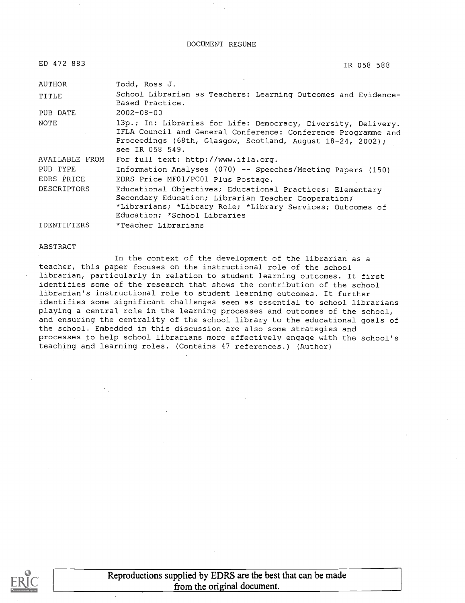#### DOCUMENT RESUME

| ED 472 883             | IR 058 588                                                                                                                                                                                                      |
|------------------------|-----------------------------------------------------------------------------------------------------------------------------------------------------------------------------------------------------------------|
| AUTHOR                 | Todd, Ross J.                                                                                                                                                                                                   |
| TITLE                  | School Librarian as Teachers: Learning Outcomes and Evidence-<br>Based Practice.                                                                                                                                |
| PUB DATE               | $2002 - 08 - 00$                                                                                                                                                                                                |
| NOTE                   | 13p.; In: Libraries for Life: Democracy, Diversity, Delivery.<br>IFLA Council and General Conference: Conference Programme and<br>Proceedings (68th, Glasgow, Scotland, August 18-24, 2002);<br>see IR 058 549. |
| AVAILABLE FROM         | For full text: http://www.ifla.org.                                                                                                                                                                             |
| PUB TYPE<br>EDRS PRICE | Information Analyses (070) -- Speeches/Meeting Papers (150)<br>EDRS Price MF01/PC01 Plus Postage.                                                                                                               |
| DESCRIPTORS            | Educational Objectives; Educational Practices; Elementary<br>Secondary Education; Librarian Teacher Cooperation;<br>*Librarians; *Library Role; *Library Services; Outcomes of<br>Education; *School Libraries  |

IDENTIFIERS \*Teacher Librarians

#### ABSTRACT

In the context of the development of the librarian as a teacher, this paper focuses on the instructional role of the school librarian, particularly in relation to student learning outcomes. It first identifies some of the research that shows the contribution of the school librarian's instructional role to student learning outcomes. It further identifies some significant challenges seen as essential to school librarians playing a central role in the learning processes and outcomes of the school, and ensuring the centrality of the school library to the educational goals of the school. Embedded in this discussion are also some strategies and processes to help school librarians more effectively engage with the school's teaching and learning roles. (Contains 47 references.) (Author)

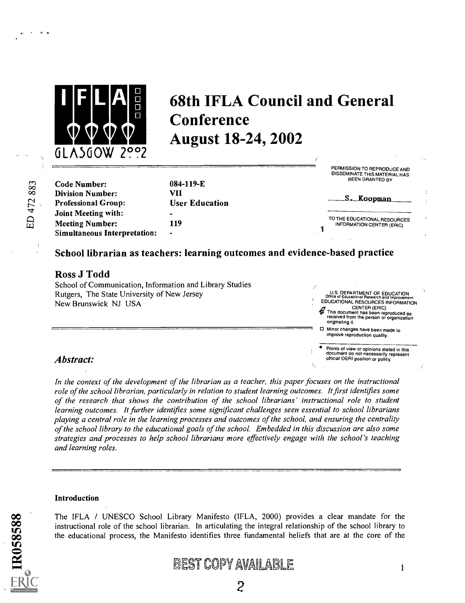

# 68th IFLA Council and General **Conference**  $\frac{1}{2002}$  August 18-24, 2002

్లా Code Number:  $\frac{1}{\infty}$  Div **Commercing with the Commer.**<br>The Meeting Number:  $\overline{1}$ Division Number: Professional Group: Joint Meeting with: Simultaneous Interpretation: 084-119-E VII User Education 119

PERMISSION TO REPRODUCE AND DISSEMINATE THIS MATERIAL HAS BEEN GRANTED BY

.S.\_Koopman

TO THE EDUCATIONAL RESOURCES INFORMATION CENTER (ERIC) 1

### School librarian as teachers: learning outcomes and evidence-based practice

#### Ross J Todd

 $(1, 1)$ 

School of Communication, Information and Library Studies Rutgers, The State University of New Jersey New Brunswick NJ USA

U.S. DEPARTMENT OF EDUCATION Office of Educational Research and Improvement EDUCATIONAL RESOURCES INFORMATION de CENTER (ERIC)<br>a This document has been reproduced as<br>received from the person or organization originating it.

Minor changes have been made to п improve reproduction quality.

Points of view or opinions stated in this document do not necessarily represent official OERI position or policy.

### Abstract:

In the context of the development of the librarian as a teacher, this paper focuses on the instructional role of the school librarian, particularly in relation to student learning outcomes. It first identifies some of the research that shows the contribution of the school librarians' instructional role to student learning outcomes. It further identifies some significant challenges seen essential to school librarians playing a central role in the learning processes and outcomes of the school, and ensuring the centrality of the school library to the educational goals of the school. Embedded in this discussion are also some strategies and processes to help school librarians more effectively engage with the school's teaching and learning roles.

#### Introduction

The IFLA / UNESCO School Library Manifesto (IFLA, 2000) provides a clear mandate for the instructional role of the school librarian. In articulating the integral relationship of the school library to the educational process, the Manifesto identifies three fundamental beliefs that are at the core of the

## BEST COPY AVAILABLE THE REST COPY AVAILABLE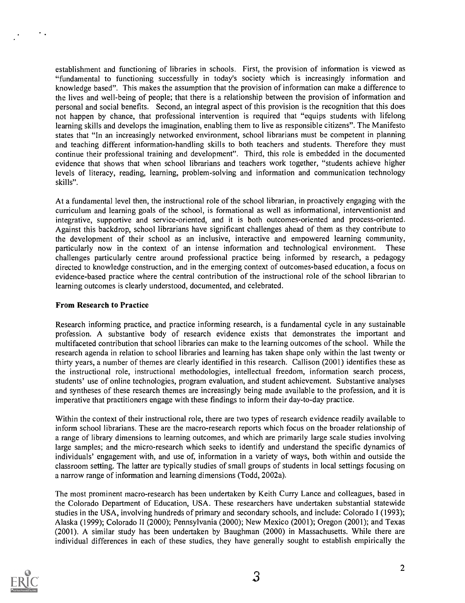establishment and functioning of libraries in schools. First, the provision of information is viewed as "fundamental to functioning successfully in today's society which is increasingly information and knowledge based". This makes the assumption that the provision of information can make a difference to the lives and well-being of people; that there is a relationship between the provision of information and personal and social benefits. Second, an integral aspect of this provision is the recognition that this does not happen by chance, that professional intervention is required that "equips students with lifelong learning skills and develops the imagination, enabling them to live as responsible citizens". The Manifesto states that "In an increasingly networked environment, school librarians must be competent in planning and teaching different information-handling skills to both teachers and students. Therefore they must continue their professional training and development". Third, this role is embedded in the documented evidence that shows that when school librarians and teachers work together, "students achieve higher levels of literacy, reading, learning, problem-solving and information and communication technology skills".

At a fundamental level then, the instructional role of the school librarian, in proactively engaging with the curriculum and learning goals of the school, is formational as well as informational, interventionist and integrative, supportive and service-oriented, and it is both outcomes-oriented and process-oriented. Against this backdrop, school librarians have significant challenges ahead of them as they contribute to the development of their school as an inclusive, interactive and empowered learning community, particularly now in the context of an intense information and technological environment. These challenges particularly centre around professional practice being informed by research, a pedagogy directed to knowledge construction, and in the emerging context of outcomes-based education, a focus on evidence-based practice where the central contribution of the instructional role of the school librarian to learning outcomes is clearly understood, documented, and celebrated.

#### From Research to Practice

 $\ddotsc$ 

Research informing practice, and practice informing research, is a fundamental cycle in any sustainable profession. A substantive body of research evidence exists that demonstrates the important and multifaceted contribution that school libraries can make to the learning outcomes of the school. While the research agenda in relation to school libraries and learning has taken shape only within the last twenty or thirty years, a number of themes are clearly identified in this research. Callison (2001) identifies these as the instructional role, instructional methodologies, intellectual freedom, information search process, students' use of online technologies, program evaluation, and student achievement. Substantive analyses and syntheses of these research themes are increasingly being made available to the profession, and it is imperative that practitioners engage with these findings to inform their day-to-day practice.

Within the context of their instructional role, there are two types of research evidence readily available to inform school librarians. These are the macro-research reports which focus on the broader relationship of a range of library dimensions to learning outcomes, and which are primarily large scale studies involving large samples; and the micro-research which seeks to identify and understand the specific dynamics of individuals' engagement with, and use of, information in a variety of ways, both within and outside the classroom setting. The latter are typically studies of small groups of students in local settings focusing on a narrow range of information and learning dimensions (Todd, 2002a).

The most prominent macro-research has been undertaken by Keith Curry Lance and colleagues, based in the Colorado Department of Education, USA. These researchers have undertaken substantial statewide studies in the USA, involving hundreds of primary and secondary schools, and include: Colorado I (1993); Alaska (1999); Colorado II (2000); Pennsylvania (2000); New Mexico (2001); Oregon (2001); and Texas (2001). A similar study has been undertaken by Baughman (2000) in Massachusetts. While there are individual differences in each of these studies, they have generally sought to establish empirically the

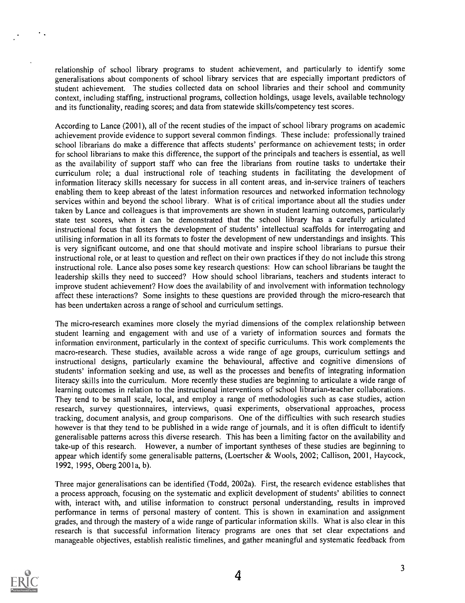relationship of school library programs to student achievement, and particularly to identify some generalisations about components of school library services that are especially important predictors of student achievement. The studies collected data on school libraries and their school and community context, including staffing, instructional programs, collection holdings, usage levels, available technology and its functionality, reading scores; and data from statewide skills/competency test scores.

According to Lance (2001), all of the recent studies of the impact of school library programs on academic achievement provide evidence to support several common findings. These include: professionally trained school librarians do make a difference that affects students' performance on achievement tests; in order for school librarians to make this difference, the support of the principals and teachers is essential, as well as the availability of support staff who can free the librarians from routine tasks to undertake their curriculum role; a dual instructional role of teaching students in facilitating the development of information literacy skills necessary for success in all content areas, and in-service trainers of teachers enabling them to keep abreast of the latest information resources and networked information technology services within and beyond the school library. What is of critical importance about all the studies under taken by Lance and colleagues is that improvements are shown in student learning outcomes, particularly state test scores, when it can be demonstrated that the school library has a carefully articulated instructional focus that fosters the development of students' intellectual scaffolds for interrogating and utilising information in all its formats to foster the development of new understandings and insights. This is very significant outcome, and one that should motivate and inspire school librarians to pursue their instructional role, or at least to question and reflect on their own practices if they do not include this strong instructional role. Lance also poses some key research questions: How can school librarians be taught the leadership skills they need to succeed? How should school librarians, teachers and students interact to improve student achievement? How does the availability of and involvement with information technology affect these interactions? Some insights to these questions are provided through the micro-research that has been undertaken across a range of school and curriculum settings.

The micro-research examines more closely the myriad dimensions of the complex relationship between student learning and engagement with and use of a variety of information sources and formats the information environment, particularly in the context of specific curriculums. This work complements the macro-research. These studies, available across a wide range of age groups, curriculum settings and instructional designs, particularly examine the behavioural, affective and cognitive dimensions of students' information seeking and use, as well as the processes and benefits of integrating information literacy skills into the curriculum. More recently these studies are beginning to articulate a wide range of learning outcomes in relation to the instructional interventions of school librarian-teacher collaborations. They tend to be small scale, local, and employ a range of methodologies such as case studies, action research, survey questionnaires, interviews, quasi experiments, observational approaches, process tracking, document analysis, and group comparisons. One of the difficulties with such research studies however is that they tend to be published in a wide range of journals, and it is often difficult to identify generalisable patterns across this diverse research. This has been a limiting factor on the availability and take-up of this research. However, a number of important syntheses of these studies are beginning to appear which identify some generalisable patterns, (Loertscher & Wools, 2002; Callison, 2001, Haycock, 1992, 1995, Oberg 2001a, b).

Three major generalisations can be identified (Todd, 2002a). First, the research evidence establishes that a process approach, focusing on the systematic and explicit development of students' abilities to connect with, interact with, and utilise information to construct personal understanding, results in improved performance in terms of personal mastery of content. This is shown in examination and assignment grades, and through the mastery of a wide range of particular information skills. What is also clear in this research is that successful information literacy programs are ones that set clear expectations and manageable objectives, establish realistic timelines, and gather meaningful and systematic feedback from



3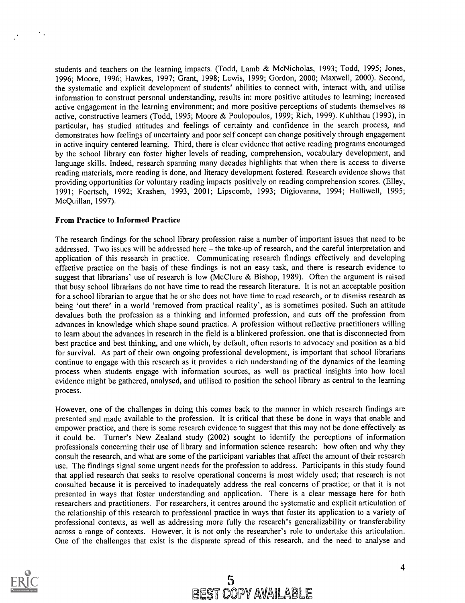students and teachers on the learning impacts. (Todd, Lamb & McNicholas, 1993; Todd, 1995; Jones, 1996; Moore, 1996; Hawkes, 1997; Grant, 1998; Lewis, 1999; Gordon, 2000; Maxwell, 2000). Second, the systematic and explicit development of students' abilities to connect with, interact with, and utilise information to construct personal understanding, results in: more positive attitudes to learning; increased active engagement in the learning environment; and more positive perceptions of students themselves as active, constructive learners (Todd, 1995; Moore & Poulopoulos, 1999; Rich, 1999). Kuhlthau (1993), in particular, has studied attitudes and feelings of certainty and confidence in the search process, and demonstrates how feelings of uncertainty and poor self concept can change positively through engagement in active inquiry centered learning. Third, there is clear evidence that active reading programs encouraged by the school library can foster higher levels of reading, comprehension, vocabulary development, and language skills. Indeed, research spanning many decades highlights that when there is access to diverse reading materials, more reading is done, and literacy development fostered. Research evidence shows that providing opportunities for voluntary reading impacts positively on reading comprehension scores. (Elley, 1991; Foertsch, 1992; Krashen, 1993, 2001; Lipscomb, 1993; Digiovanna, 1994; Halliwell, 1995; McQuillan, 1997).

#### From Practice to Informed Practice

The research findings for the school library profession raise a number of important issues that need to be addressed. Two issues will be addressed here  $-$  the take-up of research, and the careful interpretation and application of this research in practice. Communicating research findings effectively and developing effective practice on the basis of these findings is not an easy task, and there is research evidence to suggest that librarians' use of research is low (McClure & Bishop, 1989). Often the argument is raised that busy school librarians do not have time to read the research literature. It is not an acceptable position for a school librarian to argue that he or she does not have time to read research, or to dismiss research as being 'out there' in a world 'removed from practical reality', as is sometimes posited. Such an attitude devalues both the profession as a thinking and informed profession, and cuts off the profession from advances in knowledge which shape sound practice. A profession without reflective practitioners willing to learn about the advances in research in the field is a blinkered profession, one that is disconnected from best practice and best thinking, and one which, by default, often resorts to advocacy and position as a bid for survival. As part of their own ongoing professional development, is important that school librarians continue to engage with this research as it provides a rich understanding of the dynamics of the learning process when students engage with information sources, as well as practical insights into how local evidence might be gathered, analysed, and utilised to position the school library as central to the learning process.

However, one of the challenges in doing this comes back to the manner in which research findings are presented and made available to the profession. It is critical that these be done in ways that enable and empower practice, and there is some research evidence to suggest that this may not be done effectively as it could be. Turner's New Zealand study (2002) sought to identify the perceptions of information professionals concerning their use of library and information science research: how often and why they consult the research, and what are some of the participant variables that affect the amount of their research use. The findings signal some urgent needs for the profession to address. Participants in this study found that applied research that seeks to resolve operational concerns is most widely used; that research is not consulted because it is perceived to inadequately address the real concerns of practice; or that it is not presented in ways that foster understanding and application. There is a clear message here for both researchers and practitioners. For researchers, it centres around the systematic and explicit articulation of the relationship of this research to professional practice in ways that foster its application to a variety of professional contexts, as well as addressing more fully the research's generalizability or transferability across a range of contexts. However, it is not only the researcher's role to undertake this articulation. One of the challenges that exist is the disparate spread of this research, and the need to analyse and

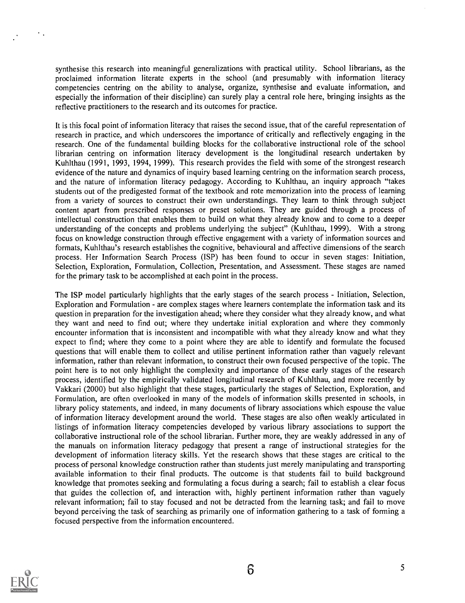synthesise this research into meaningful generalizations with practical utility. School librarians, as the proclaimed information literate experts in the school (and presumably with information literacy competencies centring on the ability to analyse, organize, synthesise and evaluate information, and especially the information of their discipline) can surely play a central role here, bringing insights as the reflective practitioners to the research and its outcomes for practice.

It is this focal point of information literacy that raises the second issue, that of the careful representation of research in practice, and which underscores the importance of critically and reflectively engaging in the research. One of the fundamental building blocks for the collaborative instructional role of the school librarian centring on information literacy development is the longitudinal research undertaken by Kuhlthau (1991, 1993, 1994, 1999). This research provides the field with some of the strongest research evidence of the nature and dynamics of inquiry based learning centring on the information search process, and the nature of information literacy pedagogy. According to Kuhlthau, an inquiry approach "takes students out of the predigested format of the textbook and rote memorization into the process of learning from a variety of sources to construct their own understandings. They learn to think through subject content apart from prescribed responses or preset solutions. They are guided through a process of intellectual construction that enables them to build on what they already know and to come to a deeper understanding of the concepts and problems underlying the subject" (Kuhlthau, 1999). With a strong focus on knowledge construction through effective engagement with a variety of information sources and formats, Kuhlthau's research establishes the cognitive, behavioural and affective dimensions of the search process. Her Information Search Process (ISP) has been found to occur in seven stages: Initiation, Selection, Exploration, Formulation, Collection, Presentation, and Assessment. These stages are named for the primary task to be accomplished at each point in the process.

The ISP model particularly highlights that the early stages of the search process - Initiation, Selection, Exploration and Formulation - are complex stages where learners contemplate the information task and its question in preparation for the investigation ahead; where they consider what they already know, and what they want and need to find out; where they undertake initial exploration and where they commonly encounter information that is inconsistent and incompatible with what they already know and what they expect to find; where they come to a point where they are able to identify and formulate the focused questions that will enable them to collect and utilise pertinent information rather than vaguely relevant information, rather than relevant information, to construct their own focused perspective of the topic. The point here is to not only highlight the complexity and importance of these early stages of the research process, identified by the empirically validated longitudinal research of Kuhlthau, and more recently by Vakkari (2000) but also highlight that these stages, particularly the stages of Selection, Exploration, and Formulation, are often overlooked in many of the models of information skills presented in schools, in library policy statements, and indeed, in many documents of library associations which espouse the value of information literacy development around the world. These stages are also often weakly articulated in listings of information literacy competencies developed by various library associations to support the collaborative instructional role of the school librarian. Further more, they are weakly addressed in any of the manuals on information literacy pedagogy that present a range of instructional strategies for the development of information literacy skills. Yet the research shows that these stages are critical to the process of personal knowledge construction rather than students just merely manipulating and transporting available information to their final products. The outcome is that students fail to build background knowledge that promotes seeking and formulating a focus during a search; fail to establish a clear focus that guides the collection of, and interaction with, highly pertinent information rather than vaguely relevant information; fail to stay focused and not be detracted from the learning task; and fail to move beyond perceiving the task of searching as primarily one of information gathering to a task of forming a focused perspective from the information encountered.

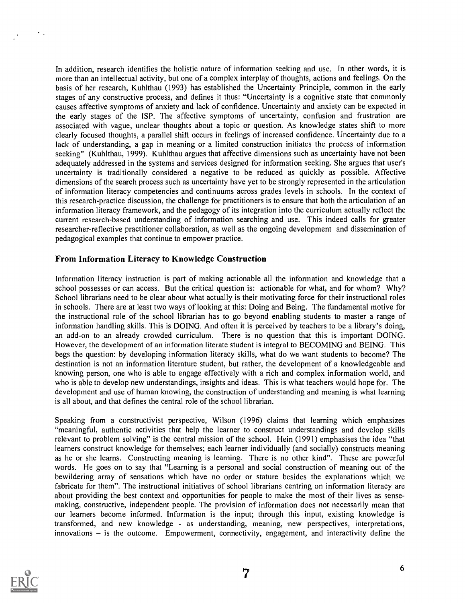In addition, research identifies the holistic nature of information seeking and use. In other words, it is more than an intellectual activity, but one of a complex interplay of thoughts, actions and feelings. On the basis of her research, Kuhlthau (1993) has established the Uncertainty Principle, common in the early stages of any constructive process, and defines it thus: "Uncertainty is a cognitive state that commonly causes affective symptoms of anxiety and lack of confidence. Uncertainty and anxiety can be expected in the early stages of the ISP. The affective symptoms of uncertainty, confusion and frustration are associated with vague, unclear thoughts about a topic or question. As knowledge states shift to more clearly focused thoughts, a parallel shift occurs in feelings of increased confidence. Uncertainty due to a lack of understanding, a gap in meaning or a limited construction initiates the process of information seeking" (Kuhlthau, 1999). Kuhlthau argues that affective dimensions such as uncertainty have not been adequately addressed in the systems and services designed for information seeking. She argues that user's uncertainty is traditionally considered a negative to be reduced as quickly as possible. Affective dimensions of the search process such as uncertainty have yet to be strongly represented in the articulation of information literacy competencies and continuums across grades levels in schools. In the context of this research-practice discussion, the challenge for practitioners is to ensure that both the articulation of an information literacy framework, and the pedagogy of its integration into the curriculum actually reflect the current research-based understanding of information searching and use. This indeed calls for greater researcher-reflective practitioner collaboration, as well as the ongoing development and dissemination of pedagogical examples that continue to empower practice.

#### From Information Literacy to Knowledge Construction

Information literacy instruction is part of making actionable all the information and knowledge that a school possesses or can access. But the critical question is: actionable for what, and for whom? Why? School librarians need to be clear about what actually is their motivating force for their instructional roles in schools. There are at least two ways of looking at this: Doing and Being. The fundamental motive for the instructional role of the school librarian has to go beyond enabling students to master a range of information handling skills. This is DOING. And often it is perceived by teachers to be a library's doing, an add-on to an already crowded curriculum. There is no question that this is important DOING. However, the development of an information literate student is integral to BECOMING and BEING. This begs the question: by developing information literacy skills, what do we want students to become? The destination is not an information literature student, but rather, the development of a knowledgeable and knowing person, one who is able to engage effectively with a rich and complex information world, and who is able to develop new understandings, insights and ideas. This is what teachers would hope for. The development and use of human knowing, the construction of understanding and meaning is what learning is all about, and that defines the central role of the school librarian.

Speaking from a constructivist perspective, Wilson (1996) claims that learning which emphasizes "meaningful, authentic activities that help the learner to construct understandings and develop skills relevant to problem solving" is the central mission of the school. Hein (1991) emphasises the idea "that learners construct knowledge for themselves; each learner individually (and socially) constructs meaning as he or she learns. Constructing meaning is learning. There is no other kind". These are powerful words. He goes on to say that "Learning is a personal and social construction of meaning out of the bewildering array of sensations which have no order or stature besides the explanations which we fabricate for them". The instructional initiatives of school librarians centring on information literacy are about providing the best context and opportunities for people to make the most of their lives as sensemaking, constructive, independent people. The provision of information does not necessarily mean that our learners become informed. Information is the input; through this input, existing knowledge is transformed, and new knowledge - as understanding, meaning, new perspectives, interpretations, innovations  $-$  is the outcome. Empowerment, connectivity, engagement, and interactivity define the

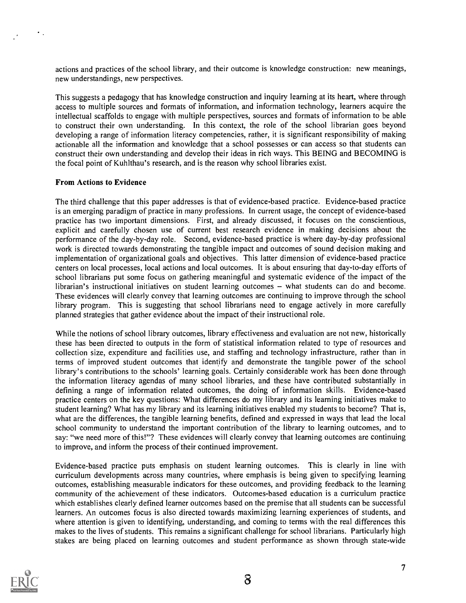actions and practices of the school library, and their outcome is knowledge construction: new meanings, new understandings, new perspectives.

This suggests a pedagogy that has knowledge construction and inquiry learning at its heart, where through access to multiple sources and formats of information, and information technology, learners acquire the intellectual scaffolds to engage with multiple perspectives, sources and formats of information to be able to construct their own understanding. In this context, the role of the school librarian goes beyond developing a range of information literacy competencies, rather, it is significant responsibility of making actionable all the information and knowledge that a school possesses or can access so that students can construct their own understanding and develop their ideas in rich ways. This BEING and BECOMING is the focal point of Kuhlthau's research, and is the reason why school libraries exist.

#### From Actions to Evidence

٠.

The third challenge that this paper addresses is that of evidence-based practice. Evidence-based practice is an emerging paradigm of practice in many professions. In current usage, the concept of evidence-based practice has two important dimensions. First, and already discussed, it focuses on the conscientious, explicit and carefully chosen use of current best research evidence in making decisions about the performance of the day-by-day role. Second, evidence-based practice is where day-by-day professional work is directed towards demonstrating the tangible impact and outcomes of sound decision making and implementation of organizational goals and objectives. This latter dimension of evidence-based practice centers on local processes, local actions and local outcomes. It is about ensuring that day-to-day efforts of school librarians put some focus on gathering meaningful and systematic evidence of the impact of the librarian's instructional initiatives on student learning outcomes - what students can do and become. These evidences will clearly convey that learning outcomes are continuing to improve through the school library program. This is suggesting that school librarians need to engage actively in more carefully planned strategies that gather evidence about the impact of their instructional role.

While the notions of school library outcomes, library effectiveness and evaluation are not new, historically these has been directed to outputs in the form of statistical information related to type of resources and collection size, expenditure and facilities use, and staffing and technology infrastructure, rather than in terms of improved student outcomes that identify and demonstrate the tangible power of the school library's contributions to the schools' learning goals. Certainly considerable work has been done through the information literacy agendas of many school libraries, and these have contributed substantially in defining a range of information related outcomes, the doing of information skills. Evidence-based practice centers on the key questions: What differences do my library and its learning initiatives make to student learning? What has my library and its learning initiatives enabled my students to become? That is, what are the differences, the tangible learning benefits, defined and expressed in ways that lead the local school community to understand the important contribution of the library to learning outcomes, and to say: "we need more of this!"? These evidences will clearly convey that learning outcomes are continuing to improve, and inform the process of their continued improvement.

Evidence-based practice puts emphasis on student learning outcomes. This is clearly in line with curriculum developments across many countries, where emphasis is being given to specifying learning outcomes, establishing measurable indicators for these outcomes, and providing feedback to the learning community of the achievement of these indicators. Outcomes-based education is a curriculum practice which establishes clearly defined learner outcomes based on the premise that all students can be successful learners. An outcomes focus is also directed towards maximizing learning experiences of students, and where attention is given to identifying, understanding, and coming to terms with the real differences this makes to the lives of students. This remains a significant challenge for school librarians. Particularly high stakes are being placed on learning outcomes and student performance as shown through state-wide

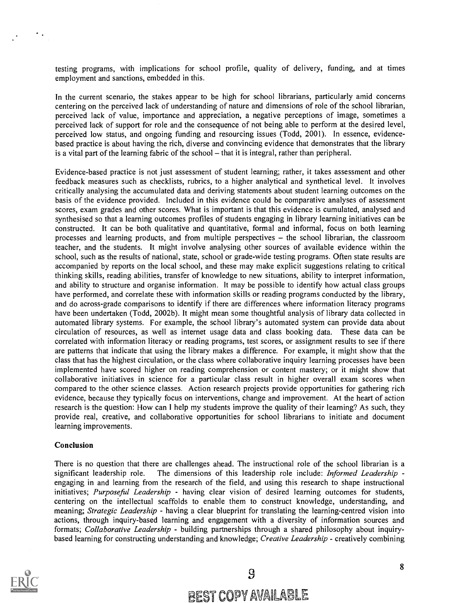testing programs, with implications for school profile, quality of delivery, funding, and at times employment and sanctions, embedded in this.

In the current scenario, the stakes appear to be high for school librarians, particularly amid concerns centering on the perceived lack of understanding of nature and dimensions of role of the school librarian, perceived lack of value, importance and appreciation, a negative perceptions of image, sometimes a perceived lack of support for role and the consequence of not being able to perform at the desired level, perceived low status, and ongoing funding and resourcing issues (Todd, 2001). In essence, evidencebased practice is about having the rich, diverse and convincing evidence that demonstrates that the library is a vital part of the learning fabric of the school  $-$  that it is integral, rather than peripheral.

Evidence-based practice is not just assessment of student learning; rather, it takes assessment and other feedback measures such as checklists, rubrics, to a higher analytical and synthetical level. It involves critically analysing the accumulated data and deriving statements about student learning outcomes on the basis of the evidence provided. Included in this evidence could be comparative analyses of assessment scores, exam grades and other scores. What is important is that this evidence is cumulated, analysed and synthesised so that a learning outcomes profiles of students engaging in library learning initiatives can be constructed. It can be both qualitative and quantitative, formal and informal, focus on both learning processes and learning products, and from multiple perspectives – the school librarian, the classroom teacher, and the students. It might involve analysing other sources of available evidence within the school, such as the results of national, state, school or grade-wide testing programs. Often state results are accompanied by reports on the local school, and these may make explicit suggestions relating to critical thinking skills, reading abilities, transfer of knowledge to new situations, ability to interpret information, and ability to structure and organise information. It may be possible to identify how actual class groups have performed, and correlate these with information skills or reading programs conducted by the library, and do across-grade comparisons to identify if there are differences where information literacy programs have been undertaken (Todd, 2002b). It might mean some thoughtful analysis of library data collected in automated library systems. For example, the school library's automated system can provide data about circulation of resources, as well as internet usage data and class booking data. These data can be correlated with information literacy or reading programs, test scores, or assignment results to see if there are patterns that indicate that using the library makes a difference. For example, it might show that the class that has the highest circulation, or the class where collaborative inquiry learning processes have been implemented have scored higher on reading comprehension or content mastery; or it might show that collaborative initiatives in science for a particular class result in higher overall exam scores when compared to the other science classes. Action research projects provide opportunities for gathering rich evidence, because they typically focus on interventions, change and improvement. At the heart of action research is the question: How can I help my students improve the quality of their learning? As such, they provide real, creative, and collaborative opportunities for school librarians to initiate and document learning improvements.

#### Conclusion

There is no question that there are challenges ahead. The instructional role of the school librarian is a significant leadership role. The dimensions of this leadership role include: *Informed Leadership* engaging in and learning from the research of the field, and using this research to shape instructional initiatives; *Purposeful Leadership* - having clear vision of desired learning outcomes for students, centering on the intellectual scaffolds to enable them to construct knowledge, understanding, and meaning; *Strategic Leadership* - having a clear blueprint for translating the learning-centred vision into actions, through inquiry-based learning and engagement with a diversity of information sources and formats; Collaborative Leadership - building partnerships through a shared philosophy about inquirybased learning for constructing understanding and knowledge; Creative Leadership - creatively combining



## BEST COPY MALABLE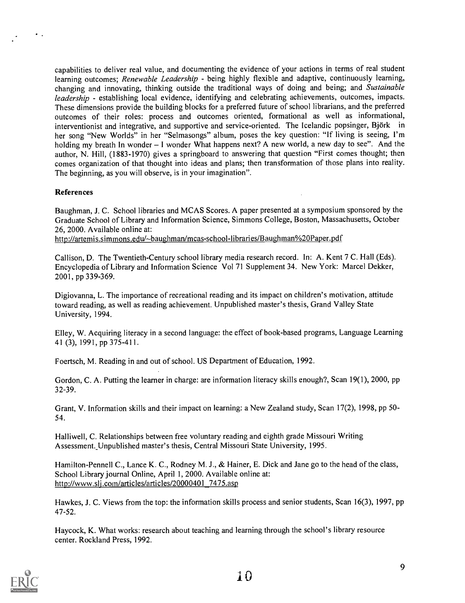capabilities to deliver real value, and documenting the evidence of your actions in terms of real student learning outcomes; Renewable Leadership - being highly flexible and adaptive, continuously learning, changing and innovating, thinking outside the traditional ways of doing and being; and Sustainable leadership - establishing local evidence, identifying and celebrating achievements, outcomes, impacts. These dimensions provide the building blocks for a preferred future of school librarians, and the preferred outcomes of their roles: process and outcomes oriented, formational as well as informational, interventionist and integrative, and supportive and service-oriented. The Icelandic popsinger, Bjork in her song "New Worlds" in her "Selmasongs" album, poses the key question: "If living is seeing, I'm holding my breath In wonder - I wonder What happens next? A new world, a new day to see". And the author, N. Hill, (1883-1970) gives a springboard to answering that question "First comes thought; then comes organization of that thought into ideas and plans; then transformation of those plans into reality. The beginning, as you will observe, is in your imagination".

#### References

 $\bullet$  .

Baughman, J. C. School libraries and MCAS Scores. A paper presented at a symposium sponsored by the Graduate School of Library and Information Science, Simmons College, Boston, Massachusetts, October 26, 2000. Available online at:

http://artemis.simmons.edu/~baughman/mcas-school-libraries/Baughman%20Paper.pdf

Callison, D. The Twentieth-Century school library media research record. In: A. Kent 7 C. Hall (Eds). Encyclopedia of Library and Information Science Vol 71 Supplement 34. New York: Marcel Dekker, 2001, pp 339-369.

Digiovanna, L. The importance of recreational reading and its impact on children's motivation, attitude toward reading, as well as reading achievement. Unpublished master's thesis, Grand Valley State University, 1994.

Elley, W. Acquiring literacy in a second language: the effect of book-based programs, Language Learning 41 (3), 1991, pp 375-411.

Foertsch, M. Reading in and out of school. US Department of Education, 1992.

Gordon, C. A. Putting the learner in charge: are information literacy skills enough?, Scan 19(1), 2000, pp 32-39.

Grant, V. Information skills and their impact on learning: a New Zealand study, Scan 17(2), 1998, pp 50- 54.

Halliwell, C. Relationships between free voluntary reading and eighth grade Missouri Writing Assessment. Unpublished master's thesis, Central Missouri State University, 1995.

Hamilton-Pennell C., Lance K. C., Rodney M. J., & Hainer, E. Dick and Jane go to the head of the class, School Library journal Online, April 1, 2000. Available online at: http://www.s1j.com/articles/articles/20000401 7475.asp

Hawkes, J. C. Views from the top: the information skills process and senior students, Scan 16(3), 1997, pp 47-52.

Haycock, K. What works: research about teaching and learning through the school's library resource center. Rockland Press, 1992.

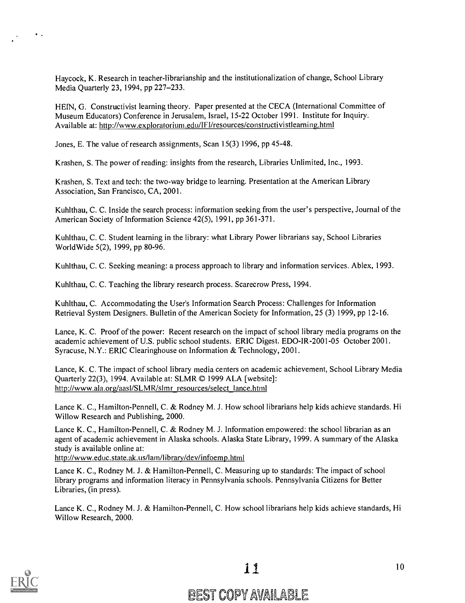Haycock, K. Research in teacher-librarianship and the institutionalization of change, School Library Media Quarterly 23,1994, pp 227-233.

HEIN, G. Constructivist learning theory. Paper presented at the CECA (International Committee of Museum Educators) Conference in Jerusalem, Israel, 15-22 October 1991. Institute for Inquiry. Available at: http://www.exploratorium.edu/IF1/resources/constructivistlearning.html

Jones, E. The value of research assignments, Scan 15(3) 1996, pp 45-48.

Krashen, S. The power of reading: insights from the research, Libraries Unlimited, Inc., 1993.

Krashen, S. Text and tech: the two-way bridge to learning. Presentation at the American Library Association, San Francisco, CA, 2001.

Kuhlthau, C. C. Inside the search process: information seeking from the user's perspective, Journal of the American Society of Information Science 42(5), 1991, pp 361-371.

Kuhlthau, C. C. Student learning in the library: what Library Power librarians say, School Libraries WorldWide 5(2), 1999, pp 80-96.

Kuhlthau, C. C. Seeking meaning: a process approach to library and information services. Ablex, 1993.

Kuhlthau, C. C. Teaching the library research process. Scarecrow Press, 1994.

Kuhlthau, C. Accommodating the User's Information Search Process: Challenges for Information Retrieval System Designers. Bulletin of the American Society for Information, 25 (3) 1999, pp 12-16.

Lance, K. C. Proof of the power: Recent research on the impact of school library media programs on the academic achievement of U.S. public school students. ERIC Digest. EDO-IR-2001-05 October 2001. Syracuse, N.Y.: ERIC Clearinghouse on Information & Technology, 2001.

Lance, K. C. The impact of school library media centers on academic achievement, School Library Media Quarterly 22(3), 1994. Available at: SLMR © 1999 ALA [website]: http://www.ala.org/aasl/SLMR/slmr resources/select lance.html

Lance K. C., Hamilton-Pennell, C. & Rodney M. J. How school librarians help kids achieve standards. Hi Willow Research and Publishing, 2000.

Lance K. C., Hamilton-Pennell, C. & Rodney M. J. Information empowered: the school librarian as an agent of academic achievement in Alaska schools. Alaska State Library, 1999. A summary of the Alaska study is available online at:

http://www.educ.state.ak.us/lam/library/dev/infoemp.html

Lance K. C., Rodney M. J. & Hamilton-Pennell, C. Measuring up to standards: The impact of school library programs and information literacy in Pennsylvania schools. Pennsylvania Citizens for Better Libraries, (in press).

Lance K. C., Rodney M. J. & Hamilton-Pennell, C. How school librarians help kids achieve standards, Hi Willow Research, 2000.



 $\mathbf{r}$  .

## BEST COPY AVAILABLE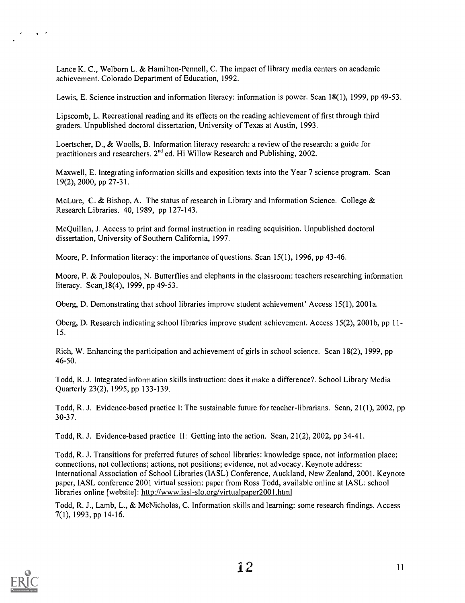Lance K. C., Welborn L. & Hamilton-Pennell, C. The impact of library media centers on academic achievement. Colorado Department of Education, 1992.

Lewis, E. Science instruction and information literacy: information is power. Scan 18(1), 1999, pp 49-53.

Lipscomb, L. Recreational reading and its effects on the reading achievement of first through third graders. Unpublished doctoral dissertation, University of Texas at Austin, 1993.

Loertscher, D., & Woolls, B. Information literacy research: a review of the research: a guide for practitioners and researchers. 2"d ed. Hi Willow Research and Publishing, 2002.

Maxwell, E. Integrating information skills and exposition texts into the Year 7 science program. Scan 19(2), 2000, pp 27-31.

McLure, C. & Bishop, A. The status of research in Library and Information Science. College  $\&$ Research Libraries. 40, 1989, pp 127-143.

McQuillan, J. Access to print and formal instruction in reading acquisition. Unpublished doctoral dissertation, University of Southern California, 1997.

Moore, P. Information literacy: the importance of questions. Scan 15(1), 1996, pp 43-46.

Moore, P. & Poulopoulos, N. Butterflies and elephants in the classroom: teachers researching information literacy. Scan\_18(4), 1999, pp 49-53.

Oberg, D. Demonstrating that school libraries improve student achievement' Access 15(1), 2001a.

Oberg, D. Research indicating school libraries improve student achievement. Access 15(2), 2001b, pp 11- 15.

Rich, W. Enhancing the participation and achievement of girls in school science. Scan 18(2), 1999, pp  $46 - 50.$ 

Todd, R. J. Integrated information skills instruction: does it make a difference?. School Library Media Quarterly 23(2), 1995, pp 133-139.

Todd, R. J. Evidence-based practice I: The sustainable future for teacher-librarians. Scan, 21(1), 2002, pp 30-37.

Todd, R. J. Evidence-based practice II: Getting into the action. Scan, 21(2), 2002, pp 34-41.

Todd, R. J. Transitions for preferred futures of school libraries: knowledge space, not information place; connections, not collections; actions, not positions; evidence, not advocacy. Keynote address: International Association of School Libraries (IASL) Conference, Auckland, New Zealand, 2001. Keynote paper, IASL conference 2001 virtual session: paper from Ross Todd, available online at IASL: school libraries online [website]: http://www.iasl-slo.org/virtualpaper2001.html

Todd, R. J., Lamb, L., & McNicholas, C. Information skills and learning: some research findings. Access 7(1), 1993, pp 14-16.

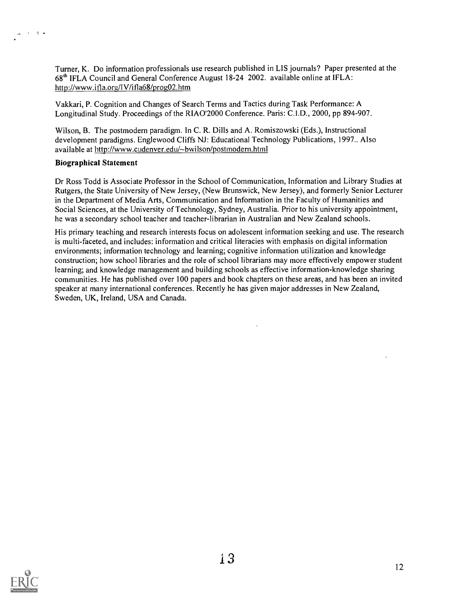Turner, K. Do information professionals use research published in LIS journals? Paper presented at the 68th IFLA Council and General Conference August 18-24 2002. available online at IFLA: http://www.itla.org/EV/ifla68/prog02.htm

Vakkari, P. Cognition and Changes of Search Terms and Tactics during Task Performance: A Longitudinal Study. Proceedings of the RIAO'2000 Conference. Paris: C.I.D., 2000, pp 894-907.

Wilson, B. The postmodern paradigm. In C. R. Dills and A. Romiszowski (Eds.), Instructional development paradigms. Englewood Cliffs NJ: Educational Technology Publications, 1997.. Also available at http://www.cudenver.edu/~bwilson/postmodern.html

#### Biographical Statement

 $\mathcal{A}=\mathcal{A}^{\mathcal{A}}$  . The  $\mathcal{A}$ 

Dr Ross Todd is Associate Professor in the School of Communication, Information and Library Studies at Rutgers, the State University of New Jersey, (New Brunswick, New Jersey), and formerly Senior Lecturer in the Department of Media Arts, Communication and Information in the Faculty of Humanities and Social Sciences, at the University of Technology, Sydney, Australia. Prior to his university appointment, he was a secondary school teacher and teacher-librarian in Australian and New Zealand schools.

His primary teaching and research interests focus on adolescent information seeking and use. The research is multi-faceted, and includes: information and critical literacies with emphasis on digital information environments; information technology and learning; cognitive information utilization and knowledge construction; how school libraries and the role of school librarians may more effectively empower student learning; and knowledge management and building schools as effective information-knowledge sharing communities. He has published over 100 papers and book chapters on these areas, and has been an invited speaker at many international conferences. Recently he has given major addresses in New Zealand, Sweden, UK, Ireland, USA and Canada.